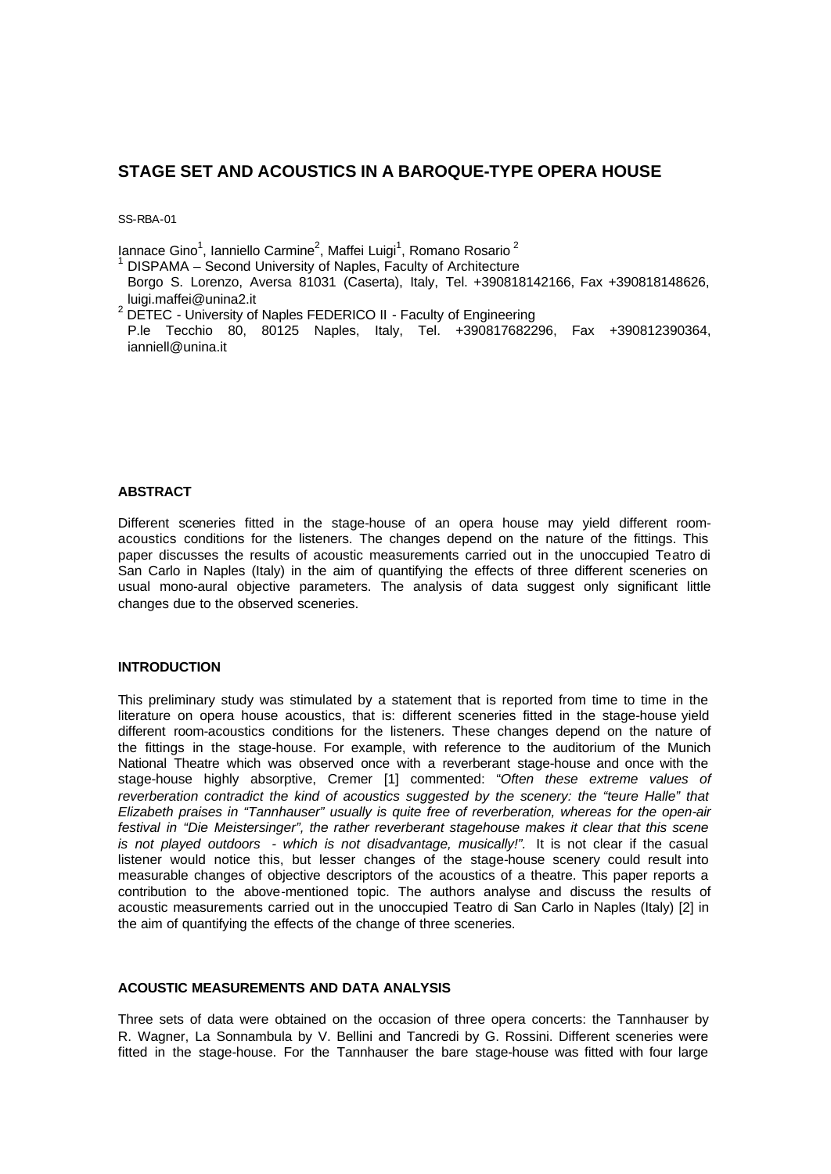# **STAGE SET AND ACOUSTICS IN A BAROQUE-TYPE OPERA HOUSE**

SS-RBA-01

lannace Gino<sup>1</sup>, Ianniello Carmine<sup>2</sup>, Maffei Luigi<sup>1</sup>, Romano Rosario<sup>2</sup><br>1 DISBAMA - Sesend University of Naples, Feaulty of Architecture

DISPAMA – Second University of Naples, Faculty of Architecture

Borgo S. Lorenzo, Aversa 81031 (Caserta), Italy, Tel. +390818142166, Fax +390818148626, luigi.maffei@unina2.it

 $2$  DETEC - University of Naples FEDERICO II - Faculty of Engineering

P.le Tecchio 80, 80125 Naples, Italy, Tel. +390817682296, Fax +390812390364, ianniell@unina.it

### **ABSTRACT**

Different sceneries fitted in the stage-house of an opera house may yield different roomacoustics conditions for the listeners. The changes depend on the nature of the fittings. This paper discusses the results of acoustic measurements carried out in the unoccupied Teatro di San Carlo in Naples (Italy) in the aim of quantifying the effects of three different sceneries on usual mono-aural objective parameters. The analysis of data suggest only significant little changes due to the observed sceneries.

## **INTRODUCTION**

This preliminary study was stimulated by a statement that is reported from time to time in the literature on opera house acoustics, that is: different sceneries fitted in the stage-house yield different room-acoustics conditions for the listeners. These changes depend on the nature of the fittings in the stage-house. For example, with reference to the auditorium of the Munich National Theatre which was observed once with a reverberant stage-house and once with the stage-house highly absorptive, Cremer [1] commented: "*Often these extreme values of reverberation contradict the kind of acoustics suggested by the scenery: the "teure Halle" that Elizabeth praises in "Tannhauser" usually is quite free of reverberation, whereas for the open-air festival in "Die Meistersinger", the rather reverberant stagehouse makes it clear that this scene*  is not played outdoors - which is not disadvantage, musically!". It is not clear if the casual listener would notice this, but lesser changes of the stage-house scenery could result into measurable changes of objective descriptors of the acoustics of a theatre. This paper reports a contribution to the above-mentioned topic. The authors analyse and discuss the results of acoustic measurements carried out in the unoccupied Teatro di San Carlo in Naples (Italy) [2] in the aim of quantifying the effects of the change of three sceneries.

### **ACOUSTIC MEASUREMENTS AND DATA ANALYSIS**

Three sets of data were obtained on the occasion of three opera concerts: the Tannhauser by R. Wagner, La Sonnambula by V. Bellini and Tancredi by G. Rossini. Different sceneries were fitted in the stage-house. For the Tannhauser the bare stage-house was fitted with four large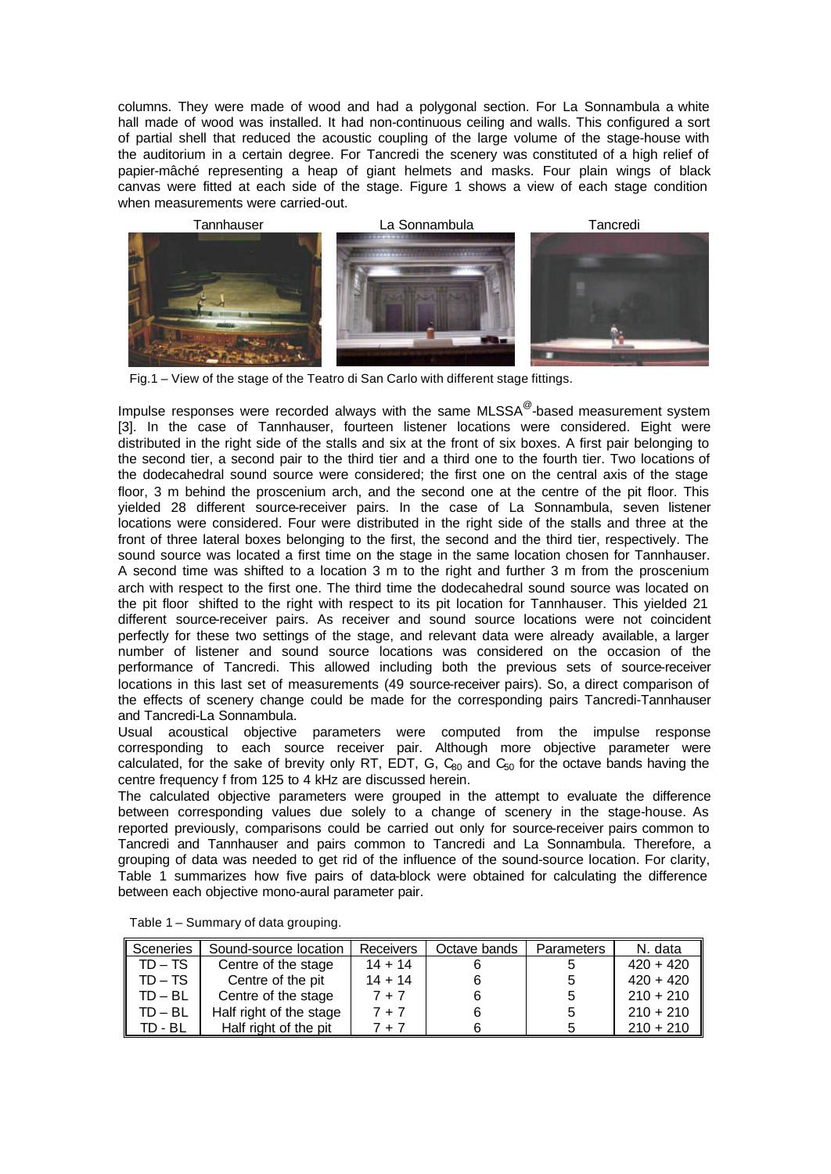columns. They were made of wood and had a polygonal section. For La Sonnambula a white hall made of wood was installed. It had non-continuous ceiling and walls. This configured a sort of partial shell that reduced the acoustic coupling of the large volume of the stage-house with the auditorium in a certain degree. For Tancredi the scenery was constituted of a high relief of papier-mâché representing a heap of giant helmets and masks. Four plain wings of black canvas were fitted at each side of the stage. Figure 1 shows a view of each stage condition when measurements were carried-out.



Fig.1 – View of the stage of the Teatro di San Carlo with different stage fittings.

Impulse responses were recorded always with the same MLSSA<sup>@</sup>-based measurement system [3]. In the case of Tannhauser, fourteen listener locations were considered. Eight were distributed in the right side of the stalls and six at the front of six boxes. A first pair belonging to the second tier, a second pair to the third tier and a third one to the fourth tier. Two locations of the dodecahedral sound source were considered; the first one on the central axis of the stage floor, 3 m behind the proscenium arch, and the second one at the centre of the pit floor. This yielded 28 different source-receiver pairs. In the case of La Sonnambula, seven listener locations were considered. Four were distributed in the right side of the stalls and three at the front of three lateral boxes belonging to the first, the second and the third tier, respectively. The sound source was located a first time on the stage in the same location chosen for Tannhauser. A second time was shifted to a location 3 m to the right and further 3 m from the proscenium arch with respect to the first one. The third time the dodecahedral sound source was located on the pit floor shifted to the right with respect to its pit location for Tannhauser. This yielded 21 different source-receiver pairs. As receiver and sound source locations were not coincident perfectly for these two settings of the stage, and relevant data were already available, a larger number of listener and sound source locations was considered on the occasion of the performance of Tancredi. This allowed including both the previous sets of source-receiver locations in this last set of measurements (49 source-receiver pairs). So, a direct comparison of the effects of scenery change could be made for the corresponding pairs Tancredi-Tannhauser and Tancredi-La Sonnambula.

Usual acoustical objective parameters were computed from the impulse response corresponding to each source receiver pair. Although more objective parameter were calculated, for the sake of brevity only RT, EDT, G,  $C_{60}$  and  $C_{50}$  for the octave bands having the centre frequency f from 125 to 4 kHz are discussed herein.

The calculated objective parameters were grouped in the attempt to evaluate the difference between corresponding values due solely to a change of scenery in the stage-house. As reported previously, comparisons could be carried out only for source-receiver pairs common to Tancredi and Tannhauser and pairs common to Tancredi and La Sonnambula. Therefore, a grouping of data was needed to get rid of the influence of the sound-source location. For clarity, Table 1 summarizes how five pairs of data-block were obtained for calculating the difference between each objective mono-aural parameter pair.

| Sceneries | Sound-source location   | <b>Receivers</b> | Octave bands | Parameters | N. data     |
|-----------|-------------------------|------------------|--------------|------------|-------------|
| $TD - TS$ | Centre of the stage     | $14 + 14$        |              |            | $420 + 420$ |
| TD – TS   | Centre of the pit       | $14 + 14$        |              | b.         | $420 + 420$ |
| $TD - BL$ | Centre of the stage     | $7 + 7$          |              | 5          | $210 + 210$ |
| TD – BL   | Half right of the stage | $7 + 7$          |              | 5          | $210 + 210$ |
| TD - BL   | Half right of the pit   | . + 7            |              |            | $210 + 210$ |

Table 1 – Summary of data grouping.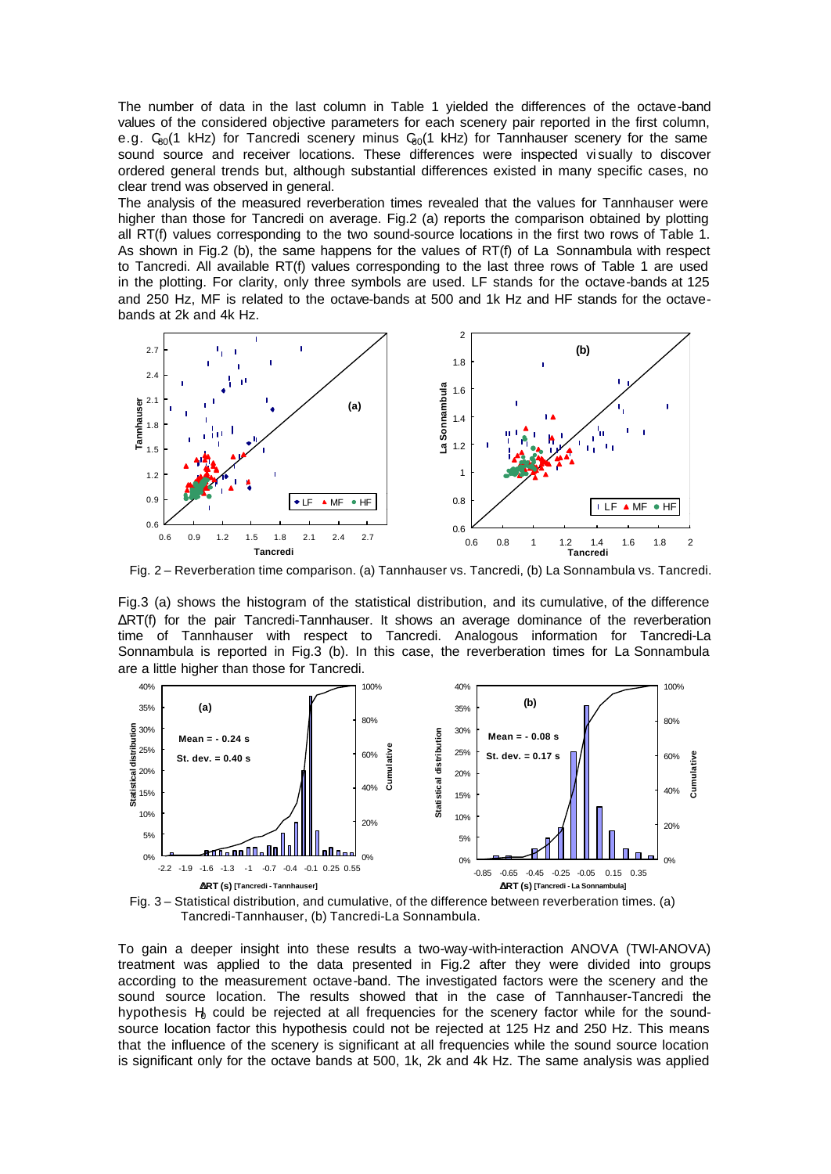The number of data in the last column in Table 1 yielded the differences of the octave-band values of the considered objective parameters for each scenery pair reported in the first column, e.g.  $C_{80}(1 \text{ kHz})$  for Tancredi scenery minus  $C_{80}(1 \text{ kHz})$  for Tannhauser scenery for the same sound source and receiver locations. These differences were inspected vi sually to discover ordered general trends but, although substantial differences existed in many specific cases, no clear trend was observed in general.

The analysis of the measured reverberation times revealed that the values for Tannhauser were higher than those for Tancredi on average. Fig.2 (a) reports the comparison obtained by plotting all RT(f) values corresponding to the two sound-source locations in the first two rows of Table 1. As shown in Fig.2 (b), the same happens for the values of RT(f) of La Sonnambula with respect to Tancredi. All available RT(f) values corresponding to the last three rows of Table 1 are used in the plotting. For clarity, only three symbols are used. LF stands for the octave-bands at 125 and 250 Hz, MF is related to the octave-bands at 500 and 1k Hz and HF stands for the octavebands at 2k and 4k Hz.



Fig. 2 – Reverberation time comparison. (a) Tannhauser vs. Tancredi, (b) La Sonnambula vs. Tancredi.

Fig.3 (a) shows the histogram of the statistical distribution, and its cumulative, of the difference ΔRT(f) for the pair Tancredi-Tannhauser. It shows an average dominance of the reverberation time of Tannhauser with respect to Tancredi. Analogous information for Tancredi-La Sonnambula is reported in Fig.3 (b). In this case, the reverberation times for La Sonnambula are a little higher than those for Tancredi.



Fig. 3 – Statistical distribution, and cumulative, of the difference between reverberation times. (a) Tancredi-Tannhauser, (b) Tancredi-La Sonnambula.

To gain a deeper insight into these results a two-way-with-interaction ANOVA (TWI-ANOVA) treatment was applied to the data presented in Fig.2 after they were divided into groups according to the measurement octave-band. The investigated factors were the scenery and the sound source location. The results showed that in the case of Tannhauser-Tancredi the hypothesis  $H<sub>0</sub>$  could be rejected at all frequencies for the scenery factor while for the soundsource location factor this hypothesis could not be rejected at 125 Hz and 250 Hz. This means that the influence of the scenery is significant at all frequencies while the sound source location is significant only for the octave bands at 500, 1k, 2k and 4k Hz. The same analysis was applied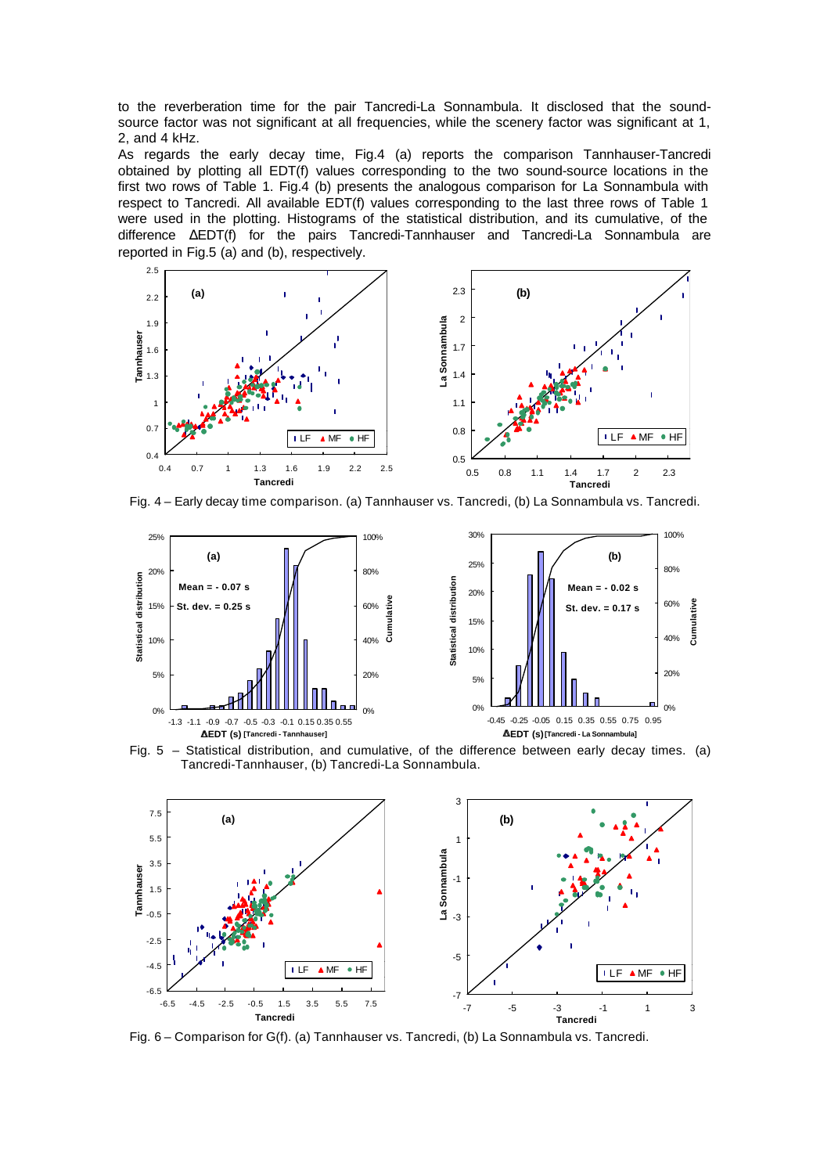to the reverberation time for the pair Tancredi-La Sonnambula. It disclosed that the soundsource factor was not significant at all frequencies, while the scenery factor was significant at 1, 2, and 4 kHz.

As regards the early decay time, Fig.4 (a) reports the comparison Tannhauser-Tancredi obtained by plotting all EDT(f) values corresponding to the two sound-source locations in the first two rows of Table 1. Fig.4 (b) presents the analogous comparison for La Sonnambula with respect to Tancredi. All available EDT(f) values corresponding to the last three rows of Table 1 were used in the plotting. Histograms of the statistical distribution, and its cumulative, of the difference ΔEDT(f) for the pairs Tancredi-Tannhauser and Tancredi-La Sonnambula are reported in Fig.5 (a) and (b), respectively.



Fig. 4 – Early decay time comparison. (a) Tannhauser vs. Tancredi, (b) La Sonnambula vs. Tancredi.







Fig. 6 – Comparison for G(f). (a) Tannhauser vs. Tancredi, (b) La Sonnambula vs. Tancredi.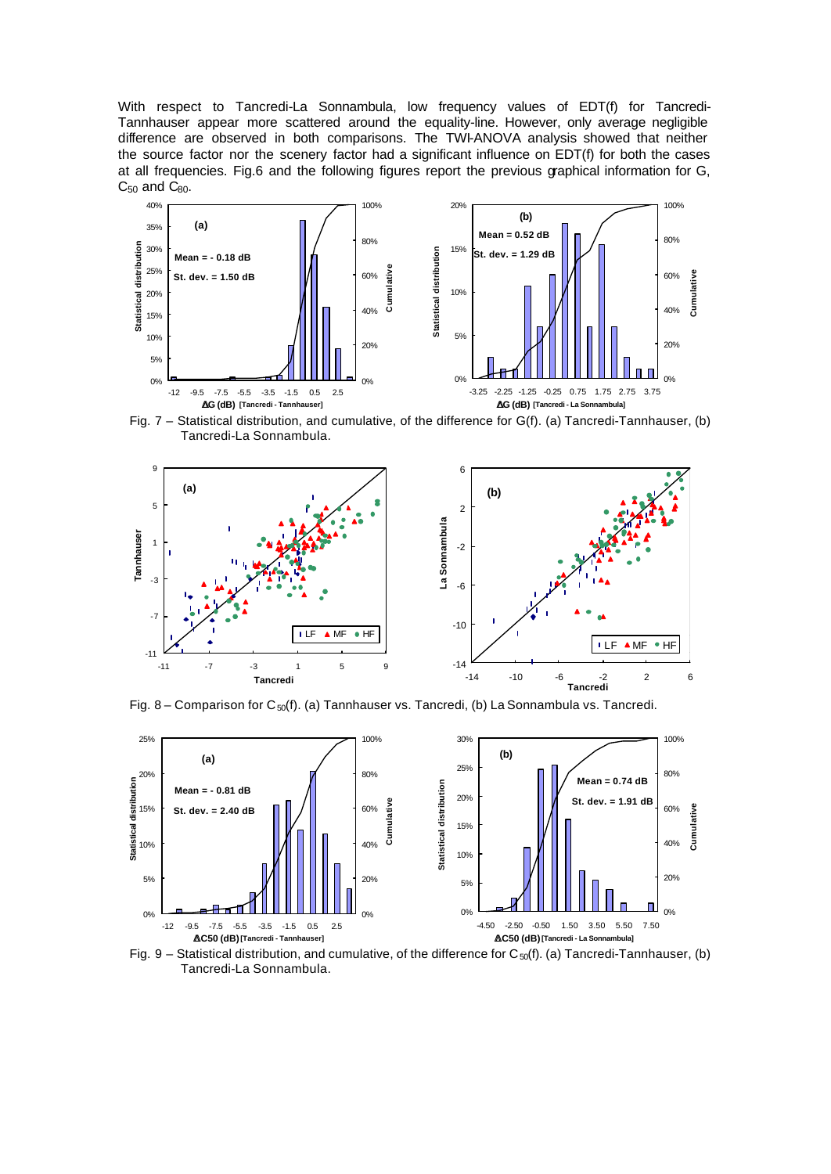With respect to Tancredi-La Sonnambula, low frequency values of EDT(f) for Tancredi-Tannhauser appear more scattered around the equality-line. However, only average negligible difference are observed in both comparisons. The TWI-ANOVA analysis showed that neither the source factor nor the scenery factor had a significant influence on EDT(f) for both the cases at all frequencies. Fig.6 and the following figures report the previous graphical information for G,  $C_{50}$  and  $C_{80}$ .



Fig. 7 – Statistical distribution, and cumulative, of the difference for G(f). (a) Tancredi-Tannhauser, (b) Tancredi-La Sonnambula.



Fig. 8 – Comparison for  $C_{50}(f)$ . (a) Tannhauser vs. Tancredi, (b) La Sonnambula vs. Tancredi.